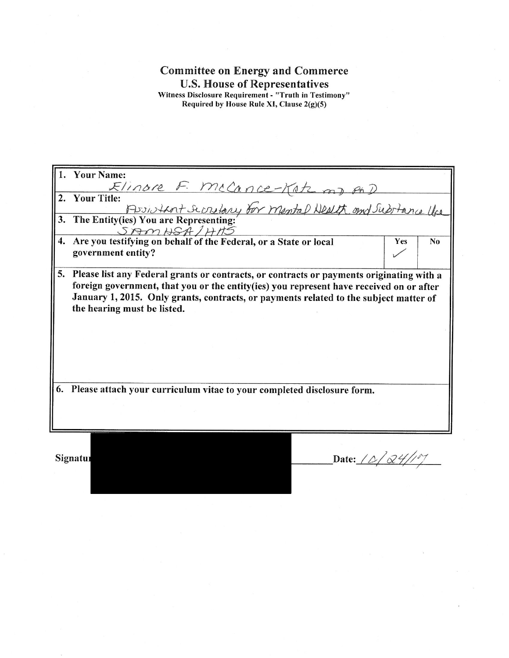## **Committee on Energy and Commerce** U.S. House of Representatives<br>Witness Disclosure Requirement - "Truth in Testimony"<br>Required by House Rule XI, Clause 2(g)(5)

|    | <b>Your Name:</b>                                                                              |
|----|------------------------------------------------------------------------------------------------|
|    | The F. McCance-Katz my on D<br>itle:<br>Posistent Screlary for Mental Health and Substance the |
| 2. | <b>Your Title:</b>                                                                             |
|    |                                                                                                |
|    | 3. The Entity(ies) You are Representing:                                                       |
|    | SAMHSA/HHS                                                                                     |
| 4. | Are you testifying on behalf of the Federal, or a State or local<br>Yes<br>N <sub>0</sub>      |
|    | government entity?                                                                             |
|    |                                                                                                |
| 5. | Please list any Federal grants or contracts, or contracts or payments originating with a       |
|    | foreign government, that you or the entity (ies) you represent have received on or after       |
|    | January 1, 2015. Only grants, contracts, or payments related to the subject matter of          |
|    | the hearing must be listed.                                                                    |
|    |                                                                                                |
|    |                                                                                                |
|    |                                                                                                |
|    |                                                                                                |
|    |                                                                                                |
|    |                                                                                                |
| 6. | Please attach your curriculum vitae to your completed disclosure form.                         |
|    |                                                                                                |
|    |                                                                                                |
|    |                                                                                                |
|    |                                                                                                |
|    |                                                                                                |

Signatur

Date:  $10/24/107$